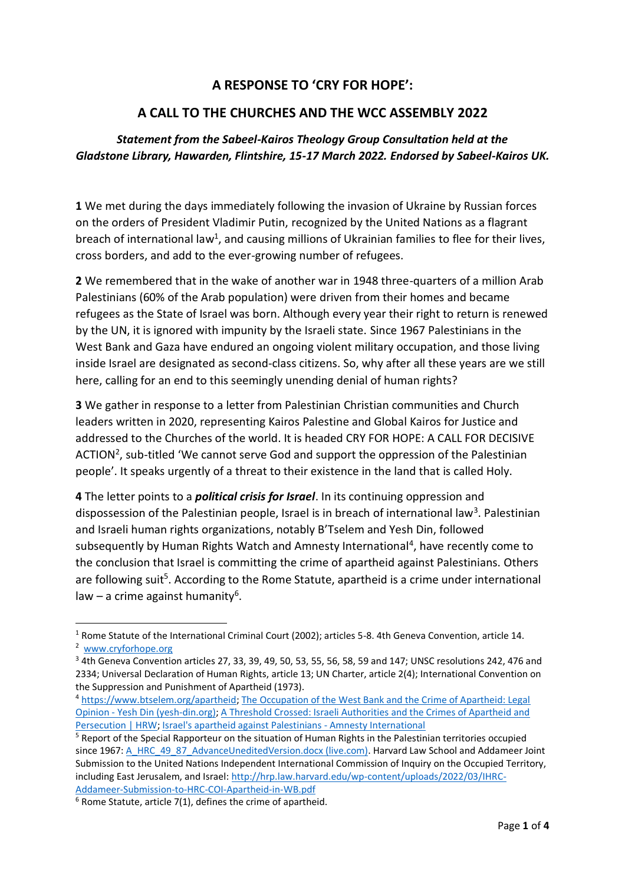## **A RESPONSE TO 'CRY FOR HOPE':**

## **A CALL TO THE CHURCHES AND THE WCC ASSEMBLY 2022**

## *Statement from the Sabeel-Kairos Theology Group Consultation held at the Gladstone Library, Hawarden, Flintshire, 15-17 March 2022. Endorsed by Sabeel-Kairos UK.*

**1** We met during the days immediately following the invasion of Ukraine by Russian forces on the orders of President Vladimir Putin, recognized by the United Nations as a flagrant breach of international law<sup>1</sup>, and causing millions of Ukrainian families to flee for their lives, cross borders, and add to the ever-growing number of refugees.

**2** We remembered that in the wake of another war in 1948 three-quarters of a million Arab Palestinians (60% of the Arab population) were driven from their homes and became refugees as the State of Israel was born. Although every year their right to return is renewed by the UN, it is ignored with impunity by the Israeli state. Since 1967 Palestinians in the West Bank and Gaza have endured an ongoing violent military occupation, and those living inside Israel are designated as second-class citizens. So, why after all these years are we still here, calling for an end to this seemingly unending denial of human rights?

**3** We gather in response to a letter from Palestinian Christian communities and Church leaders written in 2020, representing Kairos Palestine and Global Kairos for Justice and addressed to the Churches of the world. It is headed CRY FOR HOPE: A CALL FOR DECISIVE ACTION<sup>2</sup>, sub-titled 'We cannot serve God and support the oppression of the Palestinian people'. It speaks urgently of a threat to their existence in the land that is called Holy.

**4** The letter points to a *political crisis for Israel*. In its continuing oppression and dispossession of the Palestinian people, Israel is in breach of international law<sup>3</sup>. Palestinian and Israeli human rights organizations, notably B'Tselem and Yesh Din, followed subsequently by Human Rights Watch and Amnesty International<sup>4</sup>, have recently come to the conclusion that Israel is committing the crime of apartheid against Palestinians. Others are following suit<sup>5</sup>. According to the Rome Statute, apartheid is a crime under international law - a crime against humanity<sup>6</sup>.

<sup>&</sup>lt;sup>1</sup> Rome Statute of the International Criminal Court (2002); articles 5-8. 4th Geneva Convention, article 14. <sup>2</sup> www.cryforhope.org

<sup>3</sup> 4th Geneva Convention articles 27, 33, 39, 49, 50, 53, 55, 56, 58, 59 and 147; UNSC resolutions 242, 476 and 2334; Universal Declaration of Human Rights, article 13; UN Charter, article 2(4); International Convention on the Suppression and Punishment of Apartheid (1973).

<sup>4</sup> https://www.btselem.org/apartheid; The Occupation of the West Bank and the Crime of Apartheid: Legal Opinion - Yesh Din (yesh-din.org); A Threshold Crossed: Israeli Authorities and the Crimes of Apartheid and Persecution | HRW; Israel's apartheid against Palestinians - Amnesty International

<sup>&</sup>lt;sup>5</sup> Report of the Special Rapporteur on the situation of Human Rights in the Palestinian territories occupied since 1967: A\_HRC\_49\_87\_AdvanceUneditedVersion.docx (live.com). Harvard Law School and Addameer Joint Submission to the United Nations Independent International Commission of Inquiry on the Occupied Territory, including East Jerusalem, and Israel: http://hrp.law.harvard.edu/wp-content/uploads/2022/03/IHRC-Addameer-Submission-to-HRC-COI-Apartheid-in-WB.pdf

 $6$  Rome Statute, article 7(1), defines the crime of apartheid.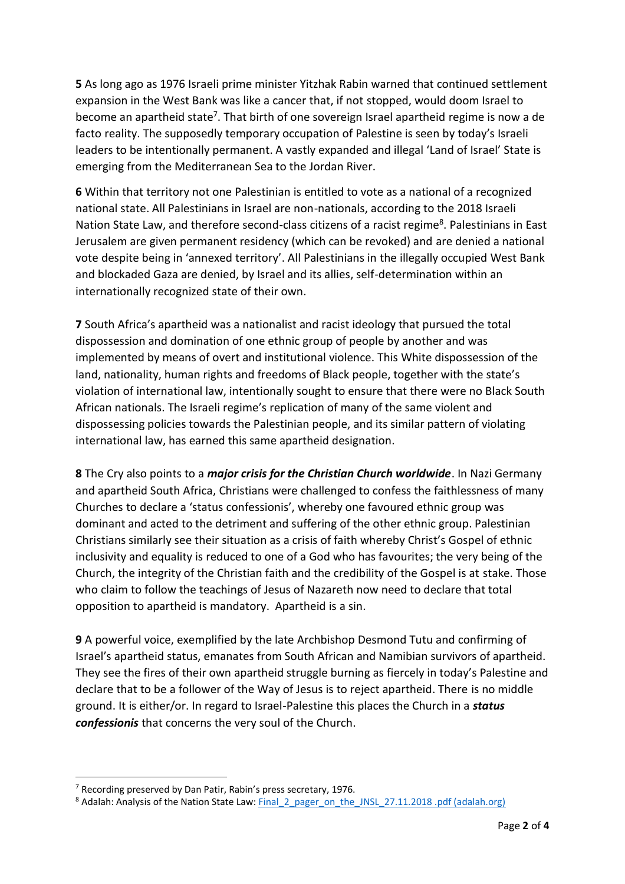**5** As long ago as 1976 Israeli prime minister Yitzhak Rabin warned that continued settlement expansion in the West Bank was like a cancer that, if not stopped, would doom Israel to become an apartheid state<sup>7</sup>. That birth of one sovereign Israel apartheid regime is now a de facto reality. The supposedly temporary occupation of Palestine is seen by today's Israeli leaders to be intentionally permanent. A vastly expanded and illegal 'Land of Israel' State is emerging from the Mediterranean Sea to the Jordan River.

**6** Within that territory not one Palestinian is entitled to vote as a national of a recognized national state. All Palestinians in Israel are non-nationals, according to the 2018 Israeli Nation State Law, and therefore second-class citizens of a racist regime<sup>8</sup>. Palestinians in East Jerusalem are given permanent residency (which can be revoked) and are denied a national vote despite being in 'annexed territory'. All Palestinians in the illegally occupied West Bank and blockaded Gaza are denied, by Israel and its allies, self-determination within an internationally recognized state of their own.

**7** South Africa's apartheid was a nationalist and racist ideology that pursued the total dispossession and domination of one ethnic group of people by another and was implemented by means of overt and institutional violence. This White dispossession of the land, nationality, human rights and freedoms of Black people, together with the state's violation of international law, intentionally sought to ensure that there were no Black South African nationals. The Israeli regime's replication of many of the same violent and dispossessing policies towards the Palestinian people, and its similar pattern of violating international law, has earned this same apartheid designation.

**8** The Cry also points to a *major crisis for the Christian Church worldwide*. In Nazi Germany and apartheid South Africa, Christians were challenged to confess the faithlessness of many Churches to declare a 'status confessionis', whereby one favoured ethnic group was dominant and acted to the detriment and suffering of the other ethnic group. Palestinian Christians similarly see their situation as a crisis of faith whereby Christ's Gospel of ethnic inclusivity and equality is reduced to one of a God who has favourites; the very being of the Church, the integrity of the Christian faith and the credibility of the Gospel is at stake. Those who claim to follow the teachings of Jesus of Nazareth now need to declare that total opposition to apartheid is mandatory. Apartheid is a sin.

**9** A powerful voice, exemplified by the late Archbishop Desmond Tutu and confirming of Israel's apartheid status, emanates from South African and Namibian survivors of apartheid. They see the fires of their own apartheid struggle burning as fiercely in today's Palestine and declare that to be a follower of the Way of Jesus is to reject apartheid. There is no middle ground. It is either/or. In regard to Israel-Palestine this places the Church in a *status confessionis* that concerns the very soul of the Church.

 $<sup>7</sup>$  Recording preserved by Dan Patir, Rabin's press secretary, 1976.</sup>

<sup>&</sup>lt;sup>8</sup> Adalah: Analysis of the Nation State Law: Final\_2\_pager\_on\_the\_JNSL\_27.11.2018 .pdf (adalah.org)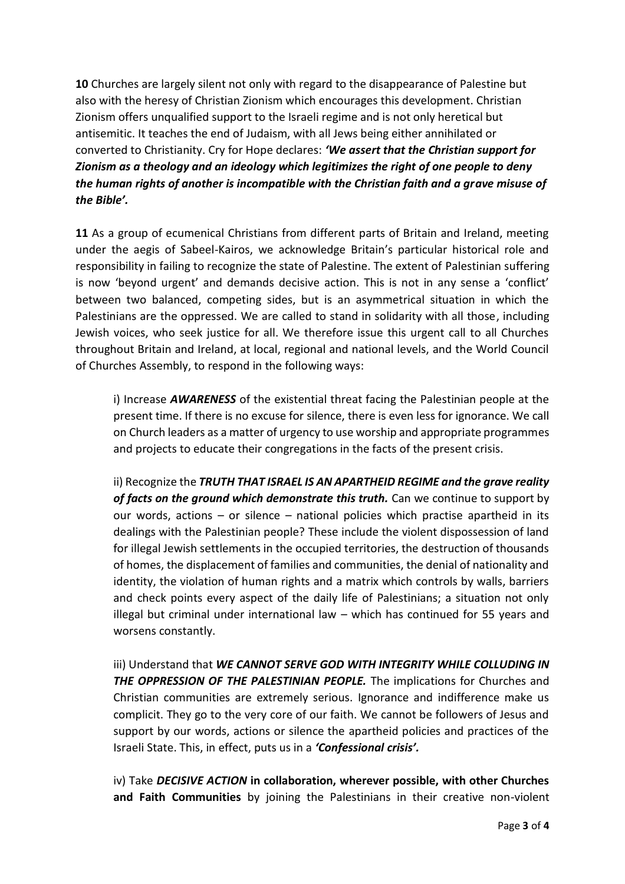**10** Churches are largely silent not only with regard to the disappearance of Palestine but also with the heresy of Christian Zionism which encourages this development. Christian Zionism offers unqualified support to the Israeli regime and is not only heretical but antisemitic. It teaches the end of Judaism, with all Jews being either annihilated or converted to Christianity. Cry for Hope declares: *͚We assert that the Christian support for Zionism as a theology and an ideology which legitimizes the right of one people to deny the human rights of another is incompatible with the Christian faith and a grave misuse of the Bible͛.*

**11** As a group of ecumenical Christians from different parts of Britain and Ireland, meeting under the aegis of Sabeel-Kairos, we acknowledge Britain's particular historical role and responsibility in failing to recognize the state of Palestine. The extent of Palestinian suffering is now 'beyond urgent' and demands decisive action. This is not in any sense a 'conflict' between two balanced, competing sides, but is an asymmetrical situation in which the Palestinians are the oppressed. We are called to stand in solidarity with all those, including Jewish voices, who seek justice for all. We therefore issue this urgent call to all Churches throughout Britain and Ireland, at local, regional and national levels, and the World Council of Churches Assembly, to respond in the following ways:

i) Increase *AWARENESS* of the existential threat facing the Palestinian people at the present time. If there is no excuse for silence, there is even less for ignorance. We call on Church leaders as a matter of urgency to use worship and appropriate programmes and projects to educate their congregations in the facts of the present crisis.

ii) Recognize the *TRUTH THAT ISRAEL IS AN APARTHEID REGIME and the grave reality of facts on the ground which demonstrate this truth.* Can we continue to support by our words, actions  $-$  or silence  $-$  national policies which practise apartheid in its dealings with the Palestinian people? These include the violent dispossession of land for illegal Jewish settlements in the occupied territories, the destruction of thousands of homes, the displacement of families and communities, the denial of nationality and identity, the violation of human rights and a matrix which controls by walls, barriers and check points every aspect of the daily life of Palestinians; a situation not only illegal but criminal under international law  $-$  which has continued for 55 years and worsens constantly.

iii) Understand that *WE CANNOT SERVE GOD WITH INTEGRITY WHILE COLLUDING IN*  **THE OPPRESSION OF THE PALESTINIAN PEOPLE.** The implications for Churches and Christian communities are extremely serious. Ignorance and indifference make us complicit. They go to the very core of our faith. We cannot be followers of Jesus and support by our words, actions or silence the apartheid policies and practices of the Israeli State. This, in effect, puts us in a 'Confessional crisis'.

iv) Take *DECISIVE ACTION* **in collaboration, wherever possible, with other Churches and Faith Communities** by joining the Palestinians in their creative non-violent